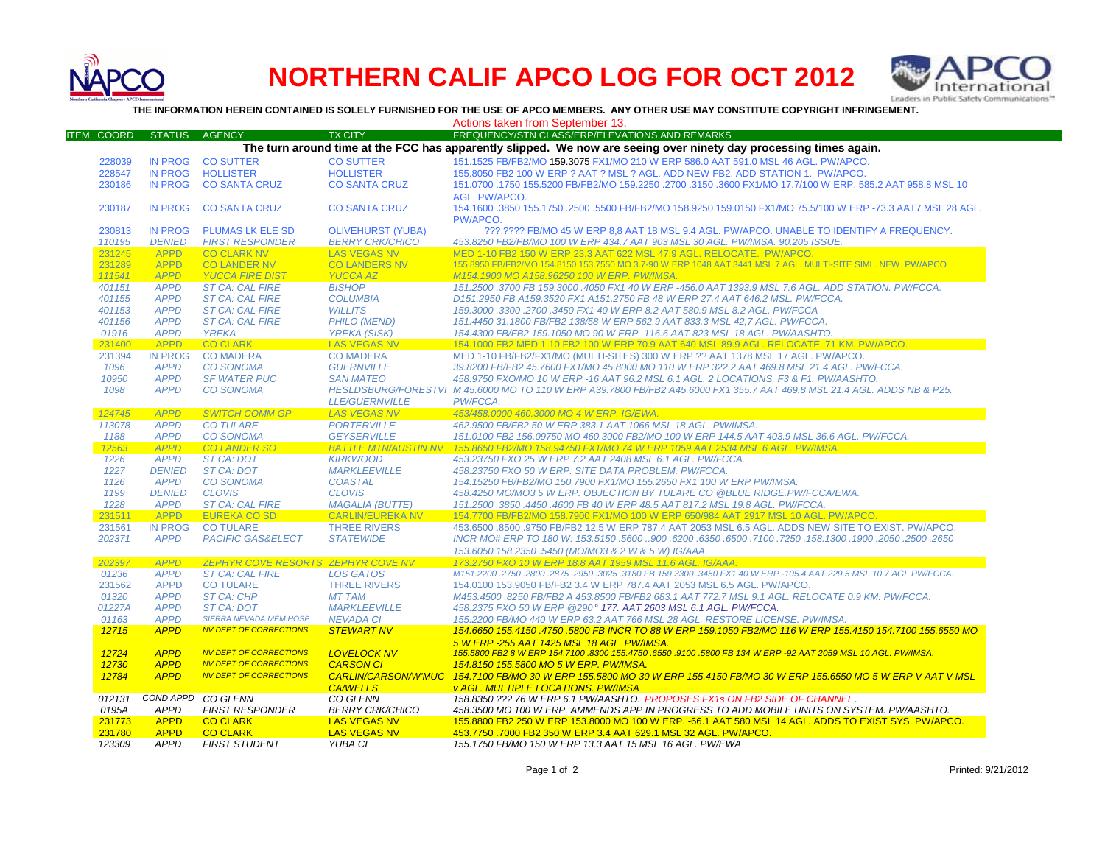

## **NORTHERN CALIF APCO LOG FOR OCT 2012**



**THE INFORMATION HEREIN CONTAINED IS SOLELY FURNISHED FOR THE USE OF APCO MEMBERS. ANY OTHER USE MAY CONSTITUTE COPYRIGHT INFRINGEMENT.**

Actions taken from September 13.

| <b>ITEM COORD</b> | <b>STATUS</b>  | <b>AGENCY</b>                      | <b>TX CITY</b>              | FREQUENCY/STN CLASS/ERP/ELEVATIONS AND REMARKS                                                                          |
|-------------------|----------------|------------------------------------|-----------------------------|-------------------------------------------------------------------------------------------------------------------------|
|                   |                |                                    |                             | The turn around time at the FCC has apparently slipped. We now are seeing over ninety day processing times again.       |
| 228039            | <b>IN PROG</b> | <b>CO SUTTER</b>                   | <b>CO SUTTER</b>            | 151.1525 FB/FB2/MO 159.3075 FX1/MO 210 W ERP 586.0 AAT 591.0 MSL 46 AGL. PW/APCO.                                       |
| 228547            | <b>IN PROG</b> | <b>HOLLISTER</b>                   | <b>HOLLISTER</b>            | 155.8050 FB2 100 W ERP ? AAT ? MSL ? AGL. ADD NEW FB2. ADD STATION 1. PW/APCO.                                          |
| 230186            | <b>IN PROG</b> | <b>CO SANTA CRUZ</b>               | <b>CO SANTA CRUZ</b>        | 151.0700 .1750 155.5200 FB/FB2/MO 159.2250 .2700 .3150 .3600 FX1/MO 17.7/100 W ERP. 585.2 AAT 958.8 MSL 10              |
|                   |                |                                    |                             |                                                                                                                         |
|                   |                |                                    |                             | AGL. PW/APCO.                                                                                                           |
| 230187            | <b>IN PROG</b> | <b>CO SANTA CRUZ</b>               | <b>CO SANTA CRUZ</b>        | 154.1600 .3850 155.1750 .2500 .5500 FB/FB2/MO 158.9250 159.0150 FX1/MO 75.5/100 W ERP -73.3 AAT7 MSL 28 AGL.            |
|                   |                |                                    |                             | PW/APCO.                                                                                                                |
| 230813            | <b>IN PROG</b> | <b>PLUMAS LK ELE SD</b>            | <b>OLIVEHURST (YUBA)</b>    | ???.???? FB/MO 45 W ERP 8,8 AAT 18 MSL 9.4 AGL. PW/APCO. UNABLE TO IDENTIFY A FREQUENCY.                                |
| 110195            | <b>DENIED</b>  | <b>FIRST RESPONDER</b>             | <b>BERRY CRK/CHICO</b>      | 453.8250 FB2/FB/MO 100 W ERP 434.7 AAT 903 MSL 30 AGL. PW/IMSA. 90.205 ISSUE.                                           |
| 231245            | <b>APPD</b>    | <b>CO CLARK NV</b>                 | <b>LAS VEGAS NV</b>         | MED 1-10 FB2 150 W ERP 23.3 AAT 622 MSL 47.9 AGL, RELOCATE, PW/APCO.                                                    |
| 231289            | <b>APPD</b>    | <b>CO LANDER NV</b>                | <b>CO LANDERS NV</b>        | 155.8950 FB/FB2/MO 154.8150 153.7550 MO 3.7-90 W ERP 1048 AAT 3441 MSL 7 AGL. MULTI-SITE SIML. NEW. PW/APCO             |
| 111541            | <b>APPD</b>    | <b>YUCCA FIRE DIST</b>             | <b>YUCCA AZ</b>             | M154.1900 MO A158.96250 100 W ERP. PW/IMSA.                                                                             |
| 401151            | <b>APPD</b>    | <b>ST CA: CAL FIRE</b>             | <b>BISHOP</b>               | 151.2500 .3700 FB 159.3000 .4050 FX1 40 W ERP -456.0 AAT 1393.9 MSL 7.6 AGL. ADD STATION. PW/FCCA.                      |
| 401155            | <b>APPD</b>    | <b>ST CA: CAL FIRE</b>             | <b>COLUMBIA</b>             | D151.2950 FB A159.3520 FX1 A151.2750 FB 48 W ERP 27.4 AAT 646.2 MSL, PW/FCCA.                                           |
| 401153            | <b>APPD</b>    | <b>ST CA: CAL FIRE</b>             | <b>WILLITS</b>              | 159.3000.3300.2700.3450 FX1 40 W ERP 8.2 AAT 580.9 MSL 8.2 AGL. PW/FCCA                                                 |
| 401156            | <b>APPD</b>    | <b>ST CA: CAL FIRE</b>             | <b>PHILO (MEND)</b>         | 151.4450 31.1800 FB/FB2 138/58 W ERP 562.9 AAT 833.3 MSL 42.7 AGL, PW/FCCA.                                             |
|                   |                |                                    |                             |                                                                                                                         |
| 01916             | <b>APPD</b>    | <b>YREKA</b>                       | <b>YREKA (SISK)</b>         | 154.4300 FB/FB2 159.1050 MO 90 W ERP -116.6 AAT 823 MSL 18 AGL. PW/AASHTO.                                              |
| 231400            | <b>APPD</b>    | <b>CO CLARK</b>                    | <b>LAS VEGAS NV</b>         | 154,1000 FB2 MED 1-10 FB2 100 W ERP 70.9 AAT 640 MSL 89.9 AGL, RELOCATE .71 KM, PW/APCO,                                |
| 231394            | <b>IN PROG</b> | <b>CO MADERA</b>                   | <b>CO MADERA</b>            | MED 1-10 FB/FB2/FX1/MO (MULTI-SITES) 300 W ERP ?? AAT 1378 MSL 17 AGL. PW/APCO.                                         |
| 1096              | <b>APPD</b>    | <b>CO SONOMA</b>                   | <b>GUERNVILLE</b>           | 39.8200 FB/FB2 45.7600 FX1/MO 45.8000 MO 110 W ERP 322.2 AAT 469.8 MSL 21.4 AGL. PW/FCCA.                               |
| 10950             | <b>APPD</b>    | <b>SF WATER PUC</b>                | <b>SAN MATEO</b>            | 458.9750 FXO/MO 10 W ERP -16 AAT 96.2 MSL 6.1 AGL. 2 LOCATIONS. F3 & F1. PW/AASHTO.                                     |
| 1098              | <b>APPD</b>    | <b>CO SONOMA</b>                   |                             | HESLDSBURG/FORESTVI M 45.6000 MO TO 110 W ERP A39.7800 FB/FB2 A45.6000 FX1 355.7 AAT 469.8 MSL 21.4 AGL. ADDS NB & P25. |
|                   |                |                                    | <b>LLE/GUERNVILLE</b>       | PW/FCCA.                                                                                                                |
| 124745            | <b>APPD</b>    | <b>SWITCH COMM GP</b>              | <b>LAS VEGAS NV</b>         | 453/458.0000 460.3000 MO 4 W ERP. IG/EWA.                                                                               |
| 113078            | <b>APPD</b>    | <b>CO TULARE</b>                   | <b>PORTERVILLE</b>          | 462.9500 FB/FB2 50 W ERP 383.1 AAT 1066 MSL 18 AGL. PW/IMSA.                                                            |
| 1188              | <b>APPD</b>    | <b>CO SONOMA</b>                   | <b>GEYSERVILLE</b>          | 151.0100 FB2 156.09750 MO 460.3000 FB2/MO 100 W ERP 144.5 AAT 403.9 MSL 36.6 AGL, PW/FCCA.                              |
| 12563             | <b>APPD</b>    | <b>CO LANDER SO</b>                | <b>BATTLE MTN/AUSTIN NV</b> | 155.8650 FB2/MO 158.94750 FX1/MO 74 W ERP 1059 AAT 2534 MSL 6 AGL. PW/IMSA.                                             |
| 1226              | <b>APPD</b>    | ST CA: DOT                         | <b>KIRKWOOD</b>             | 453.23750 FXO 25 W ERP 7.2 AAT 2408 MSL 6.1 AGL, PW/FCCA.                                                               |
| 1227              | <b>DENIED</b>  | ST CA: DOT                         | <b>MARKLEEVILLE</b>         | 458.23750 FXO 50 W ERP. SITE DATA PROBLEM. PW/FCCA.                                                                     |
| 1126              | <b>APPD</b>    | <b>CO SONOMA</b>                   | <b>COASTAL</b>              | 154.15250 FB/FB2/MO 150.7900 FX1/MO 155.2650 FX1 100 W ERP PW/IMSA.                                                     |
| 1199              | <b>DENIED</b>  | <b>CLOVIS</b>                      | <b>CLOVIS</b>               | 458.4250 MO/MO3 5 W ERP. OBJECTION BY TULARE CO @BLUE RIDGE.PW/FCCA/EWA.                                                |
| 1228              | <b>APPD</b>    | <b>ST CA: CAL FIRE</b>             | <b>MAGALIA (BUTTE)</b>      | 151.2500 .3850 .4450 .4600 FB 40 W ERP 48.5 AAT 817.2 MSL 19.8 AGL. PW/FCCA.                                            |
| 231511            | <b>APPD</b>    | <b>EUREKA CO SD</b>                | <b>CARLIN/EUREKA NV</b>     | 154.7700 FB/FB2/MO 158.7900 FX1/MO 100 W ERP 650/984 AAT 2917 MSL 10 AGL. PW/APCO.                                      |
| 231561            | <b>IN PROG</b> | <b>CO TULARE</b>                   | <b>THREE RIVERS</b>         | 453,6500,8500,9750 FB/FB2 12.5 W ERP 787.4 AAT 2053 MSL 6.5 AGL. ADDS NEW SITE TO EXIST, PW/APCO,                       |
|                   | <b>APPD</b>    |                                    |                             |                                                                                                                         |
| 202371            |                | PACIFIC GAS&ELECT                  | <b>STATEWIDE</b>            | 2650. 2600.2650. 1900. 1900. 158. 1580. 17100. 17250. 6350. 6500. 5600. 5600. 158. 1700 1758 FRP TO 180 W: 153.5150     |
|                   |                |                                    |                             | 153.6050 158.2350 .5450 (MO/MO3 & 2 W & 5 W) IG/AAA.                                                                    |
| 202397            | <b>APPD</b>    | ZEPHYR COVE RESORTS ZEPHYR COVE NV |                             | 173.2750 FXO 10 W ERP 18.8 AAT 1959 MSL 11.6 AGL, IG/AAA.                                                               |
| 01236             | <b>APPD</b>    | <b>ST CA: CAL FIRE</b>             | <b>LOS GATOS</b>            | M151.2200 .2750 .2800 .2875 .2950 .3025 .3180 FB 159.3300 .3450 FX1 40 W ERP -105.4 AAT 229.5 MSL 10.7 AGL PW/FCCA.     |
| 231562            | <b>APPD</b>    | <b>CO TULARE</b>                   | <b>THREE RIVERS</b>         | 154,0100 153,9050 FB/FB2 3.4 W ERP 787.4 AAT 2053 MSL 6.5 AGL, PW/APCO.                                                 |
| 01320             | <b>APPD</b>    | <b>ST CA: CHP</b>                  | <b>MT TAM</b>               | M453.4500 .8250 FB/FB2 A 453.8500 FB/FB2 683.1 AAT 772.7 MSL 9.1 AGL. RELOCATE 0.9 KM. PW/FCCA.                         |
| 01227A            | <b>APPD</b>    | ST CA: DOT                         | <b>MARKLEEVILLE</b>         | 458.2375 FXO 50 W ERP @290° 177. AAT 2603 MSL 6.1 AGL. PW/FCCA.                                                         |
| 01163             | <b>APPD</b>    | <b>SIERRA NEVADA MEM HOSP</b>      | <b>NEVADA CI</b>            | 155.2200 FB/MO 440 W ERP 63.2 AAT 766 MSL 28 AGL. RESTORE LICENSE. PW/IMSA.                                             |
| 12715             | <b>APPD</b>    | <b>NV DEPT OF CORRECTIONS</b>      | <b>STEWART NV</b>           | 154.6650 155.4150 .4750 .5800 FB INCR TO 88 W ERP 159.1050 FB2/MO 116 W ERP 155.4150 154.7100 155.6550 MO               |
|                   |                |                                    |                             | 5 W ERP -255 AAT 1425 MSL 18 AGL, PW/IMSA.                                                                              |
| 12724             | <b>APPD</b>    | <b>NV DEPT OF CORRECTIONS</b>      | <b>LOVELOCK NV</b>          | 155.5800 FB2 8 W ERP 154.7100 .8300 155.4750 .6550 .9100 .5800 FB 134 W ERP -92 AAT 2059 MSL 10 AGL. PW/IMSA.           |
| 12730             | <b>APPD</b>    | <b>NV DEPT OF CORRECTIONS</b>      | <b>CARSON CI</b>            | 154.8150 155.5800 MO 5 W ERP. PW/IMSA.                                                                                  |
| 12784             | <b>APPD</b>    | <b>NV DEPT OF CORRECTIONS</b>      | <b>CARLIN/CARSON/W'MUC</b>  | 154.7100 FB/MO 30 W ERP 155.5800 MO 30 W ERP 155.4150 FB/MO 30 W ERP 155.6550 MO 5 W ERP V AAT V MSL                    |
|                   |                |                                    | <b>CA/WELLS</b>             | <b>v AGL. MULTIPLE LOCATIONS. PW/IMSA</b>                                                                               |
| 012131            |                | COND APPD CO GLENN                 | CO GLENN                    | 158.8350 ??? 76 W ERP 6.1 PW/AASHTO. PROPOSES FX1s ON FB2 SIDE OF CHANNEL.                                              |
|                   | <b>APPD</b>    |                                    | <b>BERRY CRK/CHICO</b>      |                                                                                                                         |
| 0195A             |                | <b>FIRST RESPONDER</b>             |                             | 458.3500 MO 100 W ERP. AMMENDS APP IN PROGRESS TO ADD MOBILE UNITS ON SYSTEM. PW/AASHTO.                                |
| 231773            | <b>APPD</b>    | <b>CO CLARK</b>                    | <b>LAS VEGAS NV</b>         | 155.8800 FB2 250 W ERP 153.8000 MO 100 W ERP. -66.1 AAT 580 MSL 14 AGL. ADDS TO EXIST SYS. PW/APCO.                     |
| 231780            | <b>APPD</b>    | <b>CO CLARK</b>                    | <b>LAS VEGAS NV</b>         | 453.7750 .7000 FB2 350 W ERP 3.4 AAT 629.1 MSL 32 AGL. PW/APCO.                                                         |
| 123309            | <b>APPD</b>    | <b>FIRST STUDENT</b>               | YUBA CI                     | 155.1750 FB/MO 150 W ERP 13.3 AAT 15 MSL 16 AGL. PW/EWA                                                                 |